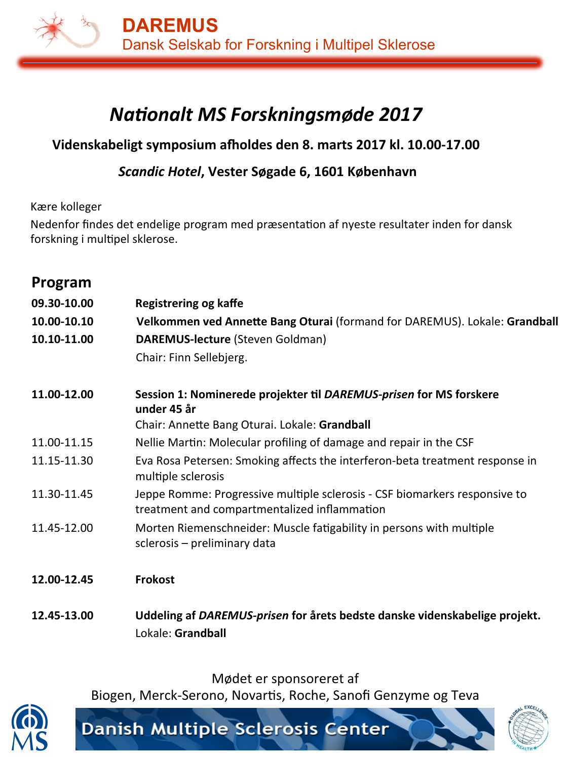# **Nationalt MS Forskningsmøde 2017**

## Videnskabeligt symposium afholdes den 8. marts 2017 kl. 10.00-17.00

## *Scandic Hotel***, Vester Søgade 6, 1601 København**

Kære kolleger 

Nedenfor findes det endelige program med præsentation af nyeste resultater inden for dansk forskning i multipel sklerose.

| Program     |                                                                                                                            |
|-------------|----------------------------------------------------------------------------------------------------------------------------|
| 09.30-10.00 | <b>Registrering og kaffe</b>                                                                                               |
| 10.00-10.10 | Velkommen ved Annette Bang Oturai (formand for DAREMUS). Lokale: Grandball                                                 |
| 10.10-11.00 | DAREMUS-lecture (Steven Goldman)                                                                                           |
|             | Chair: Finn Sellebjerg.                                                                                                    |
| 11.00-12.00 | Session 1: Nominerede projekter til DAREMUS-prisen for MS forskere<br>under 45 år                                          |
|             | Chair: Annette Bang Oturai. Lokale: Grandball                                                                              |
| 11.00-11.15 | Nellie Martin: Molecular profiling of damage and repair in the CSF                                                         |
| 11.15-11.30 | Eva Rosa Petersen: Smoking affects the interferon-beta treatment response in<br>multiple sclerosis                         |
| 11.30-11.45 | Jeppe Romme: Progressive multiple sclerosis - CSF biomarkers responsive to<br>treatment and compartmentalized inflammation |
| 11.45-12.00 | Morten Riemenschneider: Muscle fatigability in persons with multiple<br>sclerosis - preliminary data                       |
| 12.00-12.45 | <b>Frokost</b>                                                                                                             |
| 12.45-13.00 | Uddeling af DAREMUS-prisen for årets bedste danske videnskabelige projekt.<br>Lokale: Grandball                            |

Mødet er sponsoreret af

Biogen, Merck-Serono, Novartis, Roche, Sanofi Genzyme og Teva



Danish Multiple Sclerosis Center

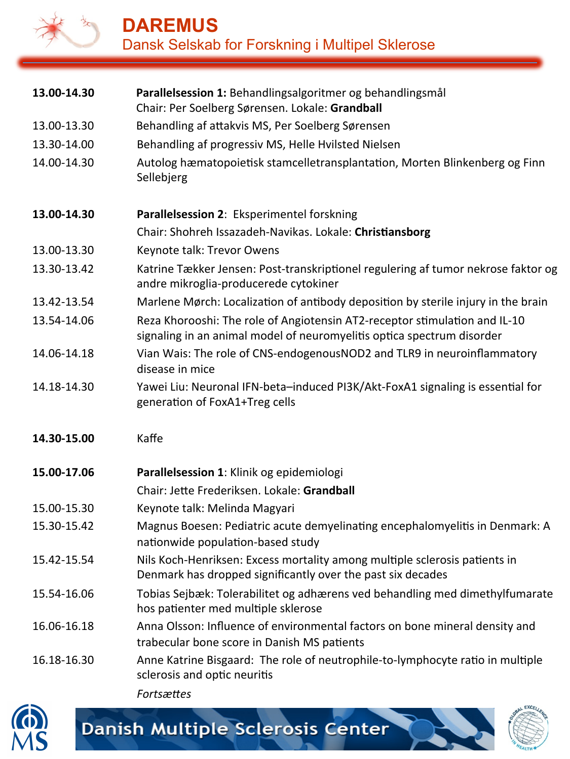

| 13.00-14.30 | Parallelsession 1: Behandlingsalgoritmer og behandlingsmål<br>Chair: Per Soelberg Sørensen. Lokale: Grandball                                        |
|-------------|------------------------------------------------------------------------------------------------------------------------------------------------------|
| 13.00-13.30 | Behandling af attakvis MS, Per Soelberg Sørensen                                                                                                     |
| 13.30-14.00 | Behandling af progressiv MS, Helle Hvilsted Nielsen                                                                                                  |
| 14.00-14.30 | Autolog hæmatopoietisk stamcelletransplantation, Morten Blinkenberg og Finn<br>Sellebjerg                                                            |
| 13.00-14.30 | Parallelsession 2: Eksperimentel forskning                                                                                                           |
|             | Chair: Shohreh Issazadeh-Navikas. Lokale: Christiansborg                                                                                             |
| 13.00-13.30 | Keynote talk: Trevor Owens                                                                                                                           |
| 13.30-13.42 | Katrine Tækker Jensen: Post-transkriptionel regulering af tumor nekrose faktor og<br>andre mikroglia-producerede cytokiner                           |
| 13.42-13.54 | Marlene Mørch: Localization of antibody deposition by sterile injury in the brain                                                                    |
| 13.54-14.06 | Reza Khorooshi: The role of Angiotensin AT2-receptor stimulation and IL-10<br>signaling in an animal model of neuromyelitis optica spectrum disorder |
| 14.06-14.18 | Vian Wais: The role of CNS-endogenousNOD2 and TLR9 in neuroinflammatory<br>disease in mice                                                           |
| 14.18-14.30 | Yawei Liu: Neuronal IFN-beta-induced PI3K/Akt-FoxA1 signaling is essential for<br>generation of FoxA1+Treg cells                                     |
| 14.30-15.00 | Kaffe                                                                                                                                                |
| 15.00-17.06 | Parallelsession 1: Klinik og epidemiologi                                                                                                            |
|             | Chair: Jette Frederiksen. Lokale: Grandball                                                                                                          |
| 15.00-15.30 | Keynote talk: Melinda Magyari                                                                                                                        |
| 15.30-15.42 | Magnus Boesen: Pediatric acute demyelinating encephalomyelitis in Denmark: A<br>nationwide population-based study                                    |
| 15.42-15.54 | Nils Koch-Henriksen: Excess mortality among multiple sclerosis patients in<br>Denmark has dropped significantly over the past six decades            |
| 15.54-16.06 | Tobias Sejbæk: Tolerabilitet og adhærens ved behandling med dimethylfumarate<br>hos patienter med multiple sklerose                                  |
| 16.06-16.18 | Anna Olsson: Influence of environmental factors on bone mineral density and<br>trabecular bone score in Danish MS patients                           |
| 16.18-16.30 | Anne Katrine Bisgaard: The role of neutrophile-to-lymphocyte ratio in multiple<br>sclerosis and optic neuritis                                       |

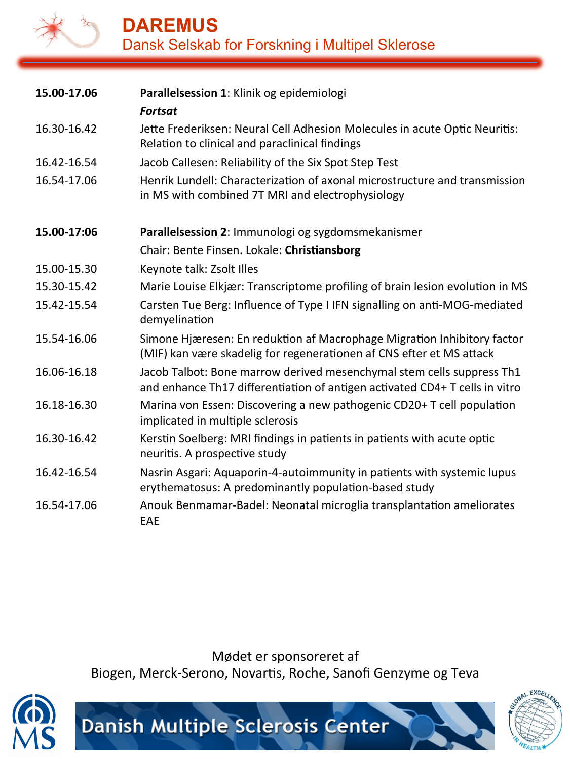

## **DAREMUS**  Dansk Selskab for Forskning i Multipel Sklerose

| 15.00-17.06 | Parallelsession 1: Klinik og epidemiologi<br><b>Fortsat</b>                                                                                          |
|-------------|------------------------------------------------------------------------------------------------------------------------------------------------------|
| 16.30-16.42 | Jette Frederiksen: Neural Cell Adhesion Molecules in acute Optic Neuritis:<br>Relation to clinical and paraclinical findings                         |
| 16.42-16.54 | Jacob Callesen: Reliability of the Six Spot Step Test                                                                                                |
| 16.54-17.06 | Henrik Lundell: Characterization of axonal microstructure and transmission<br>in MS with combined 7T MRI and electrophysiology                       |
| 15.00-17:06 | Parallelsession 2: Immunologi og sygdomsmekanismer                                                                                                   |
|             | Chair: Bente Finsen. Lokale: Christiansborg                                                                                                          |
| 15.00-15.30 | Keynote talk: Zsolt Illes                                                                                                                            |
| 15.30-15.42 | Marie Louise Elkjær: Transcriptome profiling of brain lesion evolution in MS                                                                         |
| 15.42-15.54 | Carsten Tue Berg: Influence of Type I IFN signalling on anti-MOG-mediated<br>demyelination                                                           |
| 15.54-16.06 | Simone Hjæresen: En reduktion af Macrophage Migration Inhibitory factor<br>(MIF) kan være skadelig for regenerationen af CNS efter et MS attack      |
| 16.06-16.18 | Jacob Talbot: Bone marrow derived mesenchymal stem cells suppress Th1<br>and enhance Th17 differentiation of antigen activated CD4+ T cells in vitro |
| 16.18-16.30 | Marina von Essen: Discovering a new pathogenic CD20+ T cell population<br>implicated in multiple sclerosis                                           |
| 16.30-16.42 | Kerstin Soelberg: MRI findings in patients in patients with acute optic<br>neuritis. A prospective study                                             |
| 16.42-16.54 | Nasrin Asgari: Aquaporin-4-autoimmunity in patients with systemic lupus<br>erythematosus: A predominantly population-based study                     |
| 16.54-17.06 | Anouk Benmamar-Badel: Neonatal microglia transplantation ameliorates<br>EAE                                                                          |

Mødet er sponsoreret af Biogen, Merck-Serono, Novartis, Roche, Sanofi Genzyme og Teva

**Danish Multiple Sclerosis Center** 



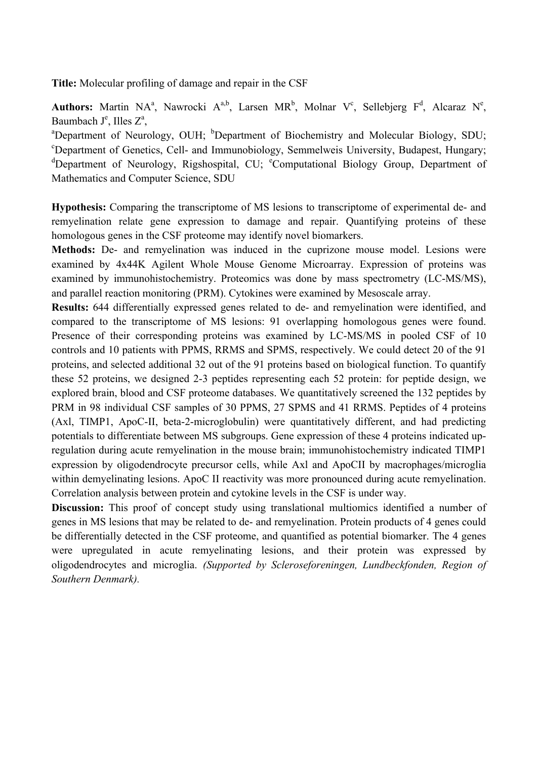**Title:** Molecular profiling of damage and repair in the CSF

**Authors:** Martin NA<sup>a</sup>, Nawrocki A<sup>a,b</sup>, Larsen MR<sup>b</sup>, Molnar V<sup>c</sup>, Sellebjerg F<sup>d</sup>, Alcaraz N<sup>e</sup>, Baumbach  $J^e$ , Illes  $Z^a$ ,

<sup>a</sup>Department of Neurology, OUH; <sup>b</sup>Department of Biochemistry and Molecular Biology, SDU;<br><sup>c</sup>Department of Geneties, Cell, and Immunobiology, Semmelywis University, Budgpest, Hyperaxy Department of Genetics, Cell- and Immunobiology, Semmelweis University, Budapest, Hungary; <sup>d</sup>Department of Neurology, Rigshospital, CU; <sup>e</sup>Computational Biology Group, Department of Mathematics and Computer Science, SDU

**Hypothesis:** Comparing the transcriptome of MS lesions to transcriptome of experimental de- and remyelination relate gene expression to damage and repair. Quantifying proteins of these homologous genes in the CSF proteome may identify novel biomarkers.

**Methods:** De- and remyelination was induced in the cuprizone mouse model. Lesions were examined by 4x44K Agilent Whole Mouse Genome Microarray. Expression of proteins was examined by immunohistochemistry. Proteomics was done by mass spectrometry (LC-MS/MS), and parallel reaction monitoring (PRM). Cytokines were examined by Mesoscale array.

**Results:** 644 differentially expressed genes related to de- and remyelination were identified, and compared to the transcriptome of MS lesions: 91 overlapping homologous genes were found. Presence of their corresponding proteins was examined by LC-MS/MS in pooled CSF of 10 controls and 10 patients with PPMS, RRMS and SPMS, respectively. We could detect 20 of the 91 proteins, and selected additional 32 out of the 91 proteins based on biological function. To quantify these 52 proteins, we designed 2-3 peptides representing each 52 protein: for peptide design, we explored brain, blood and CSF proteome databases. We quantitatively screened the 132 peptides by PRM in 98 individual CSF samples of 30 PPMS, 27 SPMS and 41 RRMS. Peptides of 4 proteins (Axl, TIMP1, ApoC-II, beta-2-microglobulin) were quantitatively different, and had predicting potentials to differentiate between MS subgroups. Gene expression of these 4 proteins indicated upregulation during acute remyelination in the mouse brain; immunohistochemistry indicated TIMP1 expression by oligodendrocyte precursor cells, while Axl and ApoCII by macrophages/microglia within demyelinating lesions. ApoC II reactivity was more pronounced during acute remyelination. Correlation analysis between protein and cytokine levels in the CSF is under way.

**Discussion:** This proof of concept study using translational multiomics identified a number of genes in MS lesions that may be related to de- and remyelination. Protein products of 4 genes could be differentially detected in the CSF proteome, and quantified as potential biomarker. The 4 genes were upregulated in acute remyelinating lesions, and their protein was expressed by oligodendrocytes and microglia. *(Supported by Scleroseforeningen, Lundbeckfonden, Region of Southern Denmark).*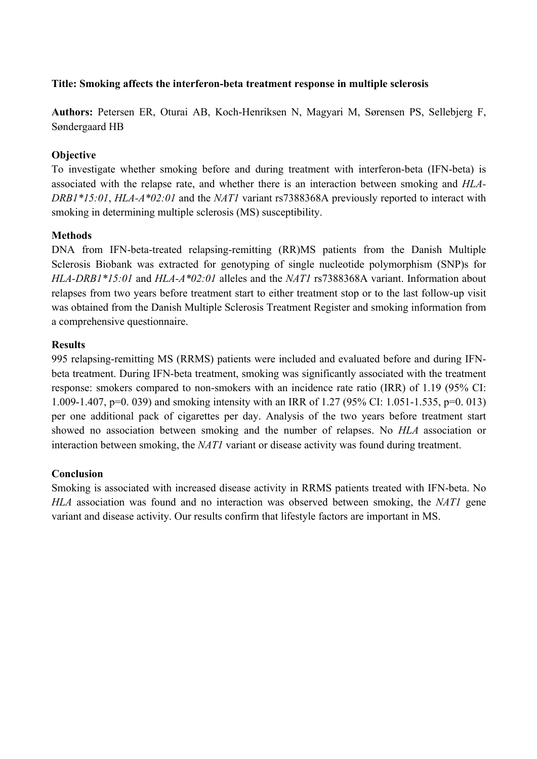#### **Title: Smoking affects the interferon-beta treatment response in multiple sclerosis**

**Authors:** Petersen ER, Oturai AB, Koch-Henriksen N, Magyari M, Sørensen PS, Sellebjerg F, Søndergaard HB

#### **Objective**

To investigate whether smoking before and during treatment with interferon-beta (IFN-beta) is associated with the relapse rate, and whether there is an interaction between smoking and *HLA-DRB1\*15:01*, *HLA-A\*02:01* and the *NAT1* variant rs7388368A previously reported to interact with smoking in determining multiple sclerosis (MS) susceptibility.

#### **Methods**

DNA from IFN-beta-treated relapsing-remitting (RR)MS patients from the Danish Multiple Sclerosis Biobank was extracted for genotyping of single nucleotide polymorphism (SNP)s for *HLA-DRB1\*15:01* and *HLA-A\*02:01* alleles and the *NAT1* rs7388368A variant. Information about relapses from two years before treatment start to either treatment stop or to the last follow-up visit was obtained from the Danish Multiple Sclerosis Treatment Register and smoking information from a comprehensive questionnaire.

#### **Results**

995 relapsing-remitting MS (RRMS) patients were included and evaluated before and during IFNbeta treatment. During IFN-beta treatment, smoking was significantly associated with the treatment response: smokers compared to non-smokers with an incidence rate ratio (IRR) of 1.19 (95% CI: 1.009-1.407, p=0. 039) and smoking intensity with an IRR of 1.27 (95% CI: 1.051-1.535, p=0. 013) per one additional pack of cigarettes per day. Analysis of the two years before treatment start showed no association between smoking and the number of relapses. No *HLA* association or interaction between smoking, the *NAT1* variant or disease activity was found during treatment.

#### **Conclusion**

Smoking is associated with increased disease activity in RRMS patients treated with IFN-beta. No *HLA* association was found and no interaction was observed between smoking, the *NAT1* gene variant and disease activity. Our results confirm that lifestyle factors are important in MS.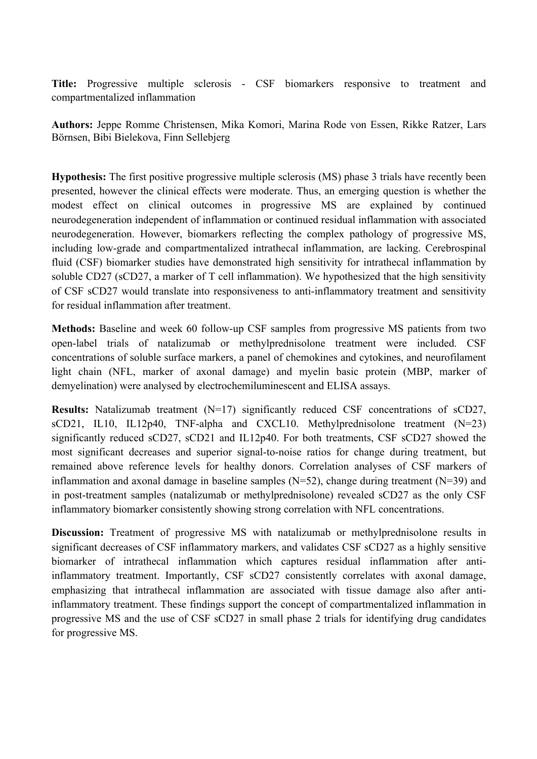**Title:** Progressive multiple sclerosis - CSF biomarkers responsive to treatment and compartmentalized inflammation

**Authors:** Jeppe Romme Christensen, Mika Komori, Marina Rode von Essen, Rikke Ratzer, Lars Börnsen, Bibi Bielekova, Finn Sellebjerg

**Hypothesis:** The first positive progressive multiple sclerosis (MS) phase 3 trials have recently been presented, however the clinical effects were moderate. Thus, an emerging question is whether the modest effect on clinical outcomes in progressive MS are explained by continued neurodegeneration independent of inflammation or continued residual inflammation with associated neurodegeneration. However, biomarkers reflecting the complex pathology of progressive MS, including low-grade and compartmentalized intrathecal inflammation, are lacking. Cerebrospinal fluid (CSF) biomarker studies have demonstrated high sensitivity for intrathecal inflammation by soluble CD27 (sCD27, a marker of T cell inflammation). We hypothesized that the high sensitivity of CSF sCD27 would translate into responsiveness to anti-inflammatory treatment and sensitivity for residual inflammation after treatment.

**Methods:** Baseline and week 60 follow-up CSF samples from progressive MS patients from two open-label trials of natalizumab or methylprednisolone treatment were included. CSF concentrations of soluble surface markers, a panel of chemokines and cytokines, and neurofilament light chain (NFL, marker of axonal damage) and myelin basic protein (MBP, marker of demyelination) were analysed by electrochemiluminescent and ELISA assays.

**Results:** Natalizumab treatment (N=17) significantly reduced CSF concentrations of sCD27, sCD21, IL10, IL12p40, TNF-alpha and CXCL10. Methylprednisolone treatment (N=23) significantly reduced sCD27, sCD21 and IL12p40. For both treatments, CSF sCD27 showed the most significant decreases and superior signal-to-noise ratios for change during treatment, but remained above reference levels for healthy donors. Correlation analyses of CSF markers of inflammation and axonal damage in baseline samples  $(N=52)$ , change during treatment  $(N=39)$  and in post-treatment samples (natalizumab or methylprednisolone) revealed sCD27 as the only CSF inflammatory biomarker consistently showing strong correlation with NFL concentrations.

**Discussion:** Treatment of progressive MS with natalizumab or methylprednisolone results in significant decreases of CSF inflammatory markers, and validates CSF sCD27 as a highly sensitive biomarker of intrathecal inflammation which captures residual inflammation after antiinflammatory treatment. Importantly, CSF sCD27 consistently correlates with axonal damage, emphasizing that intrathecal inflammation are associated with tissue damage also after antiinflammatory treatment. These findings support the concept of compartmentalized inflammation in progressive MS and the use of CSF sCD27 in small phase 2 trials for identifying drug candidates for progressive MS.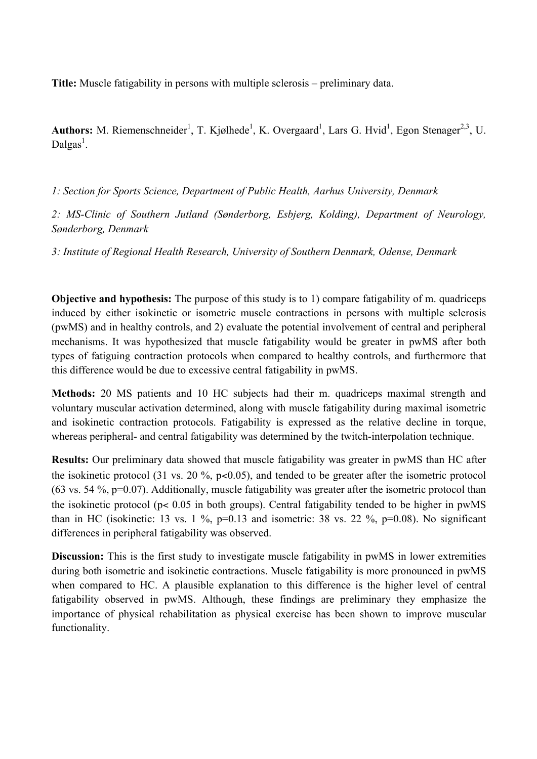**Title:** Muscle fatigability in persons with multiple sclerosis – preliminary data.

Authors: M. Riemenschneider<sup>1</sup>, T. Kjølhede<sup>1</sup>, K. Overgaard<sup>1</sup>, Lars G. Hvid<sup>1</sup>, Egon Stenager<sup>2,3</sup>, U. Dalgas<sup>1</sup>.

*1: Section for Sports Science, Department of Public Health, Aarhus University, Denmark*

*2: MS-Clinic of Southern Jutland (Sønderborg, Esbjerg, Kolding), Department of Neurology, Sønderborg, Denmark*

*3: Institute of Regional Health Research, University of Southern Denmark, Odense, Denmark*

**Objective and hypothesis:** The purpose of this study is to 1) compare fatigability of m. quadriceps induced by either isokinetic or isometric muscle contractions in persons with multiple sclerosis (pwMS) and in healthy controls, and 2) evaluate the potential involvement of central and peripheral mechanisms. It was hypothesized that muscle fatigability would be greater in pwMS after both types of fatiguing contraction protocols when compared to healthy controls, and furthermore that this difference would be due to excessive central fatigability in pwMS.

**Methods:** 20 MS patients and 10 HC subjects had their m. quadriceps maximal strength and voluntary muscular activation determined, along with muscle fatigability during maximal isometric and isokinetic contraction protocols. Fatigability is expressed as the relative decline in torque, whereas peripheral- and central fatigability was determined by the twitch-interpolation technique.

**Results:** Our preliminary data showed that muscle fatigability was greater in pwMS than HC after the isokinetic protocol (31 vs. 20  $\%$ , p<0.05), and tended to be greater after the isometric protocol (63 vs. 54 %, p=0.07). Additionally, muscle fatigability was greater after the isometric protocol than the isokinetic protocol (p< 0.05 in both groups). Central fatigability tended to be higher in pwMS than in HC (isokinetic: 13 vs. 1 %,  $p=0.13$  and isometric: 38 vs. 22 %,  $p=0.08$ ). No significant differences in peripheral fatigability was observed.

**Discussion:** This is the first study to investigate muscle fatigability in pwMS in lower extremities during both isometric and isokinetic contractions. Muscle fatigability is more pronounced in pwMS when compared to HC. A plausible explanation to this difference is the higher level of central fatigability observed in pwMS. Although, these findings are preliminary they emphasize the importance of physical rehabilitation as physical exercise has been shown to improve muscular functionality.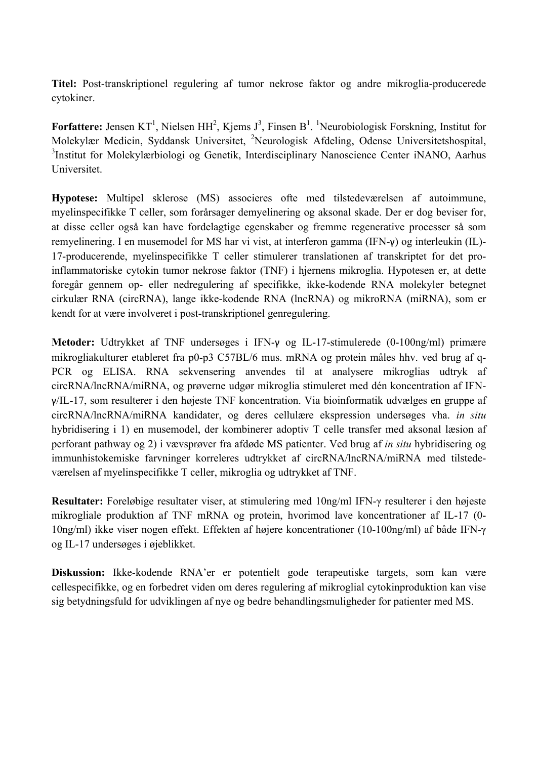**Titel:** Post-transkriptionel regulering af tumor nekrose faktor og andre mikroglia-producerede cytokiner.

**Forfattere:** Jensen KT<sup>1</sup>, Nielsen HH<sup>2</sup>, Kjems J<sup>3</sup>, Finsen B<sup>1</sup>. <sup>1</sup>Neurobiologisk Forskning, Institut for Molekylær Medicin, Syddansk Universitet, <sup>2</sup>Neurologisk Afdeling, Odense Universitetshospital, <sup>3</sup>Institut for Molekylærbiologi og Genetik, Interdisciplinary Nanoscience Center iNANO, Aarhus Universitet.

**Hypotese:** Multipel sklerose (MS) associeres ofte med tilstedeværelsen af autoimmune, myelinspecifikke T celler, som forårsager demyelinering og aksonal skade. Der er dog beviser for, at disse celler også kan have fordelagtige egenskaber og fremme regenerative processer så som remyelinering. I en musemodel for MS har vi vist, at interferon gamma (IFN-γ) og interleukin (IL)- 17-producerende, myelinspecifikke T celler stimulerer translationen af transkriptet for det proinflammatoriske cytokin tumor nekrose faktor (TNF) i hjernens mikroglia. Hypotesen er, at dette foregår gennem op- eller nedregulering af specifikke, ikke-kodende RNA molekyler betegnet cirkulær RNA (circRNA), lange ikke-kodende RNA (lncRNA) og mikroRNA (miRNA), som er kendt for at være involveret i post-transkriptionel genregulering.

**Metoder:** Udtrykket af TNF undersøges i IFN-γ og IL-17-stimulerede (0-100ng/ml) primære mikrogliakulturer etableret fra p0-p3 C57BL/6 mus. mRNA og protein måles hhv. ved brug af q-PCR og ELISA. RNA sekvensering anvendes til at analysere mikroglias udtryk af circRNA/lncRNA/miRNA, og prøverne udgør mikroglia stimuleret med dén koncentration af IFNγ/IL-17, som resulterer i den højeste TNF koncentration. Via bioinformatik udvælges en gruppe af circRNA/lncRNA/miRNA kandidater, og deres cellulære ekspression undersøges vha. *in situ* hybridisering i 1) en musemodel, der kombinerer adoptiv T celle transfer med aksonal læsion af perforant pathway og 2) i vævsprøver fra afdøde MS patienter. Ved brug af *in situ* hybridisering og immunhistokemiske farvninger korreleres udtrykket af circRNA/lncRNA/miRNA med tilstedeværelsen af myelinspecifikke T celler, mikroglia og udtrykket af TNF.

**Resultater:** Foreløbige resultater viser, at stimulering med 10ng/ml IFN-γ resulterer i den højeste mikrogliale produktion af TNF mRNA og protein, hvorimod lave koncentrationer af IL-17 (0- 10ng/ml) ikke viser nogen effekt. Effekten af højere koncentrationer (10-100ng/ml) af både IFN-γ og IL-17 undersøges i øjeblikket.

**Diskussion:** Ikke-kodende RNA'er er potentielt gode terapeutiske targets, som kan være cellespecifikke, og en forbedret viden om deres regulering af mikroglial cytokinproduktion kan vise sig betydningsfuld for udviklingen af nye og bedre behandlingsmuligheder for patienter med MS.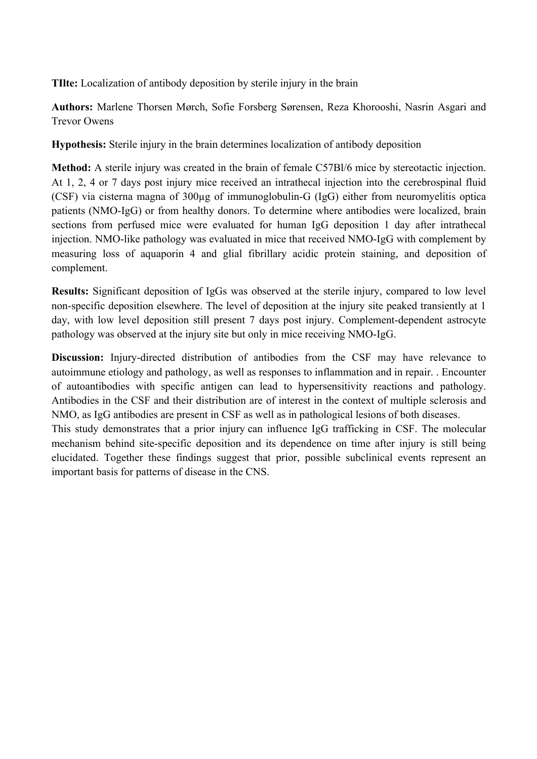**TIlte:** Localization of antibody deposition by sterile injury in the brain

**Authors:** Marlene Thorsen Mørch, Sofie Forsberg Sørensen, Reza Khorooshi, Nasrin Asgari and Trevor Owens

**Hypothesis:** Sterile injury in the brain determines localization of antibody deposition

**Method:** A sterile injury was created in the brain of female C57Bl/6 mice by stereotactic injection. At 1, 2, 4 or 7 days post injury mice received an intrathecal injection into the cerebrospinal fluid (CSF) via cisterna magna of 300µg of immunoglobulin-G (IgG) either from neuromyelitis optica patients (NMO-IgG) or from healthy donors. To determine where antibodies were localized, brain sections from perfused mice were evaluated for human IgG deposition 1 day after intrathecal injection. NMO-like pathology was evaluated in mice that received NMO-IgG with complement by measuring loss of aquaporin 4 and glial fibrillary acidic protein staining, and deposition of complement.

**Results:** Significant deposition of IgGs was observed at the sterile injury, compared to low level non-specific deposition elsewhere. The level of deposition at the injury site peaked transiently at 1 day, with low level deposition still present 7 days post injury. Complement-dependent astrocyte pathology was observed at the injury site but only in mice receiving NMO-IgG.

**Discussion:** Injury-directed distribution of antibodies from the CSF may have relevance to autoimmune etiology and pathology, as well as responses to inflammation and in repair. . Encounter of autoantibodies with specific antigen can lead to hypersensitivity reactions and pathology. Antibodies in the CSF and their distribution are of interest in the context of multiple sclerosis and NMO, as IgG antibodies are present in CSF as well as in pathological lesions of both diseases.

This study demonstrates that a prior injury can influence IgG trafficking in CSF. The molecular mechanism behind site-specific deposition and its dependence on time after injury is still being elucidated. Together these findings suggest that prior, possible subclinical events represent an important basis for patterns of disease in the CNS.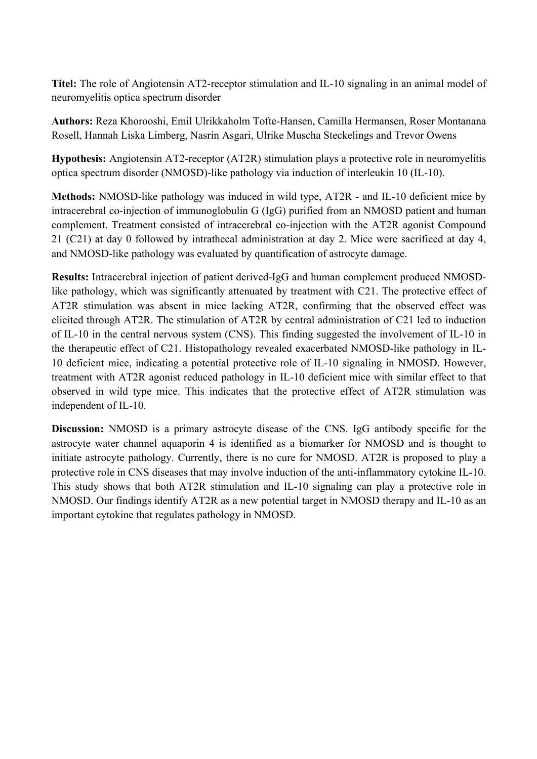**Titel:** The role of Angiotensin AT2-receptor stimulation and IL-10 signaling in an animal model of neuromyelitis optica spectrum disorder

**Authors:** Reza Khorooshi, Emil Ulrikkaholm Tofte-Hansen, Camilla Hermansen, Roser Montanana Rosell, Hannah Liska Limberg, Nasrin Asgari, Ulrike Muscha Steckelings and Trevor Owens

**Hypothesis:** Angiotensin AT2-receptor (AT2R) stimulation plays a protective role in neuromyelitis optica spectrum disorder (NMOSD)-like pathology via induction of interleukin 10 (IL-10).

**Methods:** NMOSD-like pathology was induced in wild type, AT2R - and IL-10 deficient mice by intracerebral co-injection of immunoglobulin G (IgG) purified from an NMOSD patient and human complement. Treatment consisted of intracerebral co-injection with the AT2R agonist Compound 21 (C21) at day 0 followed by intrathecal administration at day 2. Mice were sacrificed at day 4, and NMOSD-like pathology was evaluated by quantification of astrocyte damage.

**Results:** Intracerebral injection of patient derived-IgG and human complement produced NMOSDlike pathology, which was significantly attenuated by treatment with C21. The protective effect of AT2R stimulation was absent in mice lacking AT2R, confirming that the observed effect was elicited through AT2R. The stimulation of AT2R by central administration of C21 led to induction of IL-10 in the central nervous system (CNS). This finding suggested the involvement of IL-10 in the therapeutic effect of C21. Histopathology revealed exacerbated NMOSD-like pathology in IL-10 deficient mice, indicating a potential protective role of IL-10 signaling in NMOSD. However, treatment with AT2R agonist reduced pathology in IL-10 deficient mice with similar effect to that observed in wild type mice. This indicates that the protective effect of AT2R stimulation was independent of IL-10.

**Discussion:** NMOSD is a primary astrocyte disease of the CNS. IgG antibody specific for the astrocyte water channel aquaporin 4 is identified as a biomarker for NMOSD and is thought to initiate astrocyte pathology. Currently, there is no cure for NMOSD. AT2R is proposed to play a protective role in CNS diseases that may involve induction of the anti-inflammatory cytokine IL-10. This study shows that both AT2R stimulation and IL-10 signaling can play a protective role in NMOSD. Our findings identify AT2R as a new potential target in NMOSD therapy and IL-10 as an important cytokine that regulates pathology in NMOSD.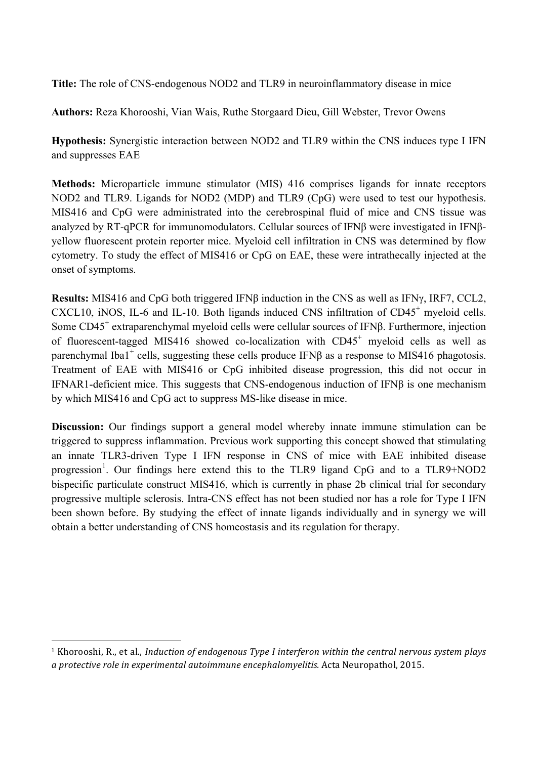**Title:** The role of CNS-endogenous NOD2 and TLR9 in neuroinflammatory disease in mice

**Authors:** Reza Khorooshi, Vian Wais, Ruthe Storgaard Dieu, Gill Webster, Trevor Owens

**Hypothesis:** Synergistic interaction between NOD2 and TLR9 within the CNS induces type I IFN and suppresses EAE

**Methods:** Microparticle immune stimulator (MIS) 416 comprises ligands for innate receptors NOD2 and TLR9. Ligands for NOD2 (MDP) and TLR9 (CpG) were used to test our hypothesis. MIS416 and CpG were administrated into the cerebrospinal fluid of mice and CNS tissue was analyzed by RT-qPCR for immunomodulators. Cellular sources of IFNβ were investigated in IFNβyellow fluorescent protein reporter mice. Myeloid cell infiltration in CNS was determined by flow cytometry. To study the effect of MIS416 or CpG on EAE, these were intrathecally injected at the onset of symptoms.

**Results:** MIS416 and CpG both triggered IFNβ induction in the CNS as well as IFNγ, IRF7, CCL2, CXCL10, iNOS, IL-6 and IL-10. Both ligands induced CNS infiltration of  $CD45<sup>+</sup>$  myeloid cells. Some CD45<sup>+</sup> extraparenchymal myeloid cells were cellular sources of IFNβ. Furthermore, injection of fluorescent-tagged MIS416 showed co-localization with  $CD45<sup>+</sup>$  myeloid cells as well as parenchymal Iba1<sup>+</sup> cells, suggesting these cells produce IFN $\beta$  as a response to MIS416 phagotosis. Treatment of EAE with MIS416 or CpG inhibited disease progression, this did not occur in IFNAR1-deficient mice. This suggests that CNS-endogenous induction of IFNβ is one mechanism by which MIS416 and CpG act to suppress MS-like disease in mice.

**Discussion:** Our findings support a general model whereby innate immune stimulation can be triggered to suppress inflammation. Previous work supporting this concept showed that stimulating an innate TLR3-driven Type I IFN response in CNS of mice with EAE inhibited disease progression<sup>1</sup>. Our findings here extend this to the TLR9 ligand CpG and to a TLR9+NOD2 bispecific particulate construct MIS416, which is currently in phase 2b clinical trial for secondary progressive multiple sclerosis. Intra-CNS effect has not been studied nor has a role for Type I IFN been shown before. By studying the effect of innate ligands individually and in synergy we will obtain a better understanding of CNS homeostasis and its regulation for therapy.

 

<sup>&</sup>lt;sup>1</sup> Khorooshi, R., et al., *Induction of endogenous Type I interferon within the central nervous system plays a* protective role in experimental autoimmune encephalomyelitis. Acta Neuropathol, 2015.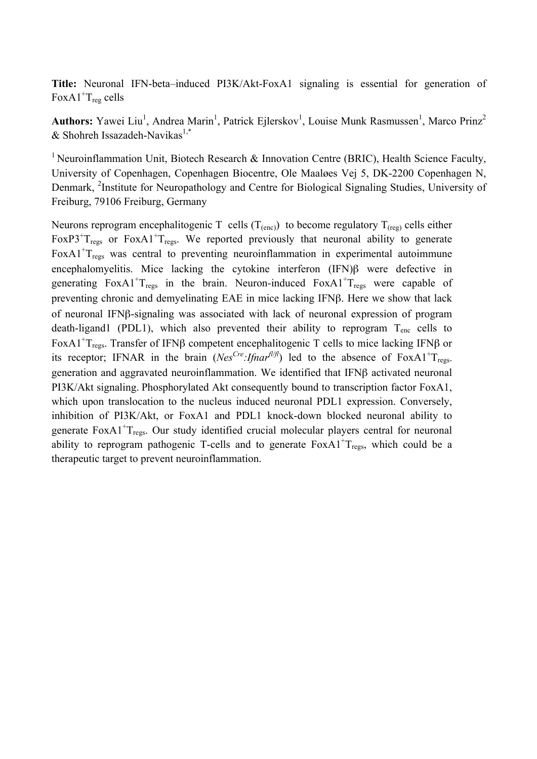**Title:** Neuronal IFN-beta–induced PI3K/Akt-FoxA1 signaling is essential for generation of  $FoxA1<sup>+</sup>T<sub>reg</sub>$  cells

Authors: Yawei Liu<sup>1</sup>, Andrea Marin<sup>1</sup>, Patrick Ejlerskov<sup>1</sup>, Louise Munk Rasmussen<sup>1</sup>, Marco Prinz<sup>2</sup>  $&$  Shohreh Issazadeh-Navikas<sup>1,\*</sup>

<sup>1</sup> Neuroinflammation Unit, Biotech Research & Innovation Centre (BRIC), Health Science Faculty, University of Copenhagen, Copenhagen Biocentre, Ole Maaløes Vej 5, DK-2200 Copenhagen N, Denmark, <sup>2</sup>Institute for Neuropathology and Centre for Biological Signaling Studies, University of Freiburg, 79106 Freiburg, Germany

Neurons reprogram encephalitogenic T cells  $(T_{(enc)})$  to become regulatory  $T_{(rec)}$  cells either FoxP3<sup>+</sup>T<sub>regs</sub> or FoxA1<sup>+</sup>T<sub>regs</sub>. We reported previously that neuronal ability to generate FoxA1<sup>+</sup> $T_{\text{regs}}$  was central to preventing neuroinflammation in experimental autoimmune encephalomyelitis. Mice lacking the cytokine interferon (IFN)β were defective in generating  $FoxA1^{+}T_{regs}$  in the brain. Neuron-induced  $FoxA1^{+}T_{regs}$  were capable of preventing chronic and demyelinating EAE in mice lacking IFNβ. Here we show that lack of neuronal IFNβ-signaling was associated with lack of neuronal expression of program death-ligand1 (PDL1), which also prevented their ability to reprogram  $T_{enc}$  cells to FoxA1<sup>+</sup>T<sub>regs</sub>. Transfer of IFNβ competent encephalitogenic T cells to mice lacking IFNβ or its receptor; IFNAR in the brain  $(Nes^{Cre}.Ifnar^{f/f})$  led to the absence of FoxA1<sup>+</sup>T<sub>regs</sub>. generation and aggravated neuroinflammation. We identified that IFNβ activated neuronal PI3K/Akt signaling. Phosphorylated Akt consequently bound to transcription factor FoxA1, which upon translocation to the nucleus induced neuronal PDL1 expression. Conversely, inhibition of PI3K/Akt, or FoxA1 and PDL1 knock-down blocked neuronal ability to generate FoxA1<sup>+</sup>T<sub>regs</sub>. Our study identified crucial molecular players central for neuronal ability to reprogram pathogenic T-cells and to generate  $FoxA1+T_{regs}$ , which could be a therapeutic target to prevent neuroinflammation.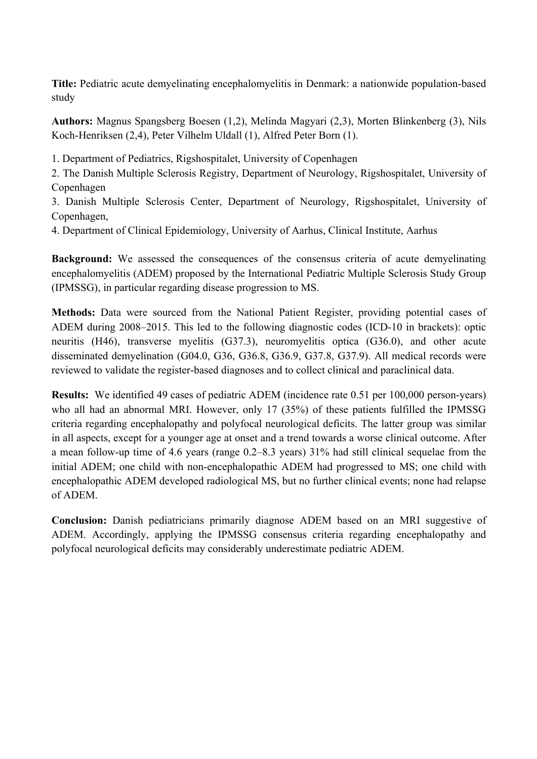**Title:** Pediatric acute demyelinating encephalomyelitis in Denmark: a nationwide population-based study

**Authors:** Magnus Spangsberg Boesen (1,2), Melinda Magyari (2,3), Morten Blinkenberg (3), Nils Koch-Henriksen (2,4), Peter Vilhelm Uldall (1), Alfred Peter Born (1).

1. Department of Pediatrics, Rigshospitalet, University of Copenhagen

2. The Danish Multiple Sclerosis Registry, Department of Neurology, Rigshospitalet, University of Copenhagen

3. Danish Multiple Sclerosis Center, Department of Neurology, Rigshospitalet, University of Copenhagen,

4. Department of Clinical Epidemiology, University of Aarhus, Clinical Institute, Aarhus

**Background:** We assessed the consequences of the consensus criteria of acute demyelinating encephalomyelitis (ADEM) proposed by the International Pediatric Multiple Sclerosis Study Group (IPMSSG), in particular regarding disease progression to MS.

**Methods:** Data were sourced from the National Patient Register, providing potential cases of ADEM during 2008–2015. This led to the following diagnostic codes (ICD-10 in brackets): optic neuritis (H46), transverse myelitis (G37.3), neuromyelitis optica (G36.0), and other acute disseminated demyelination (G04.0, G36, G36.8, G36.9, G37.8, G37.9). All medical records were reviewed to validate the register-based diagnoses and to collect clinical and paraclinical data.

**Results:** We identified 49 cases of pediatric ADEM (incidence rate 0.51 per 100,000 person-years) who all had an abnormal MRI. However, only 17 (35%) of these patients fulfilled the IPMSSG criteria regarding encephalopathy and polyfocal neurological deficits. The latter group was similar in all aspects, except for a younger age at onset and a trend towards a worse clinical outcome. After a mean follow-up time of 4.6 years (range 0.2–8.3 years) 31% had still clinical sequelae from the initial ADEM; one child with non-encephalopathic ADEM had progressed to MS; one child with encephalopathic ADEM developed radiological MS, but no further clinical events; none had relapse of ADEM.

**Conclusion:** Danish pediatricians primarily diagnose ADEM based on an MRI suggestive of ADEM. Accordingly, applying the IPMSSG consensus criteria regarding encephalopathy and polyfocal neurological deficits may considerably underestimate pediatric ADEM.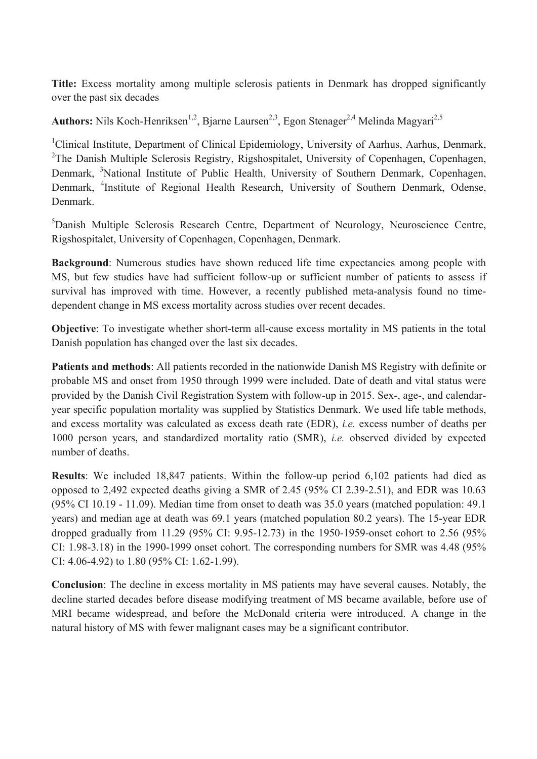**Title:** Excess mortality among multiple sclerosis patients in Denmark has dropped significantly over the past six decades

Authors: Nils Koch-Henriksen<sup>1,2</sup>, Bjarne Laursen<sup>2,3</sup>, Egon Stenager<sup>2,4</sup> Melinda Magyari<sup>2,5</sup>

<sup>1</sup>Clinical Institute, Department of Clinical Epidemiology, University of Aarhus, Aarhus, Denmark, <sup>2</sup>The Danish Multiple Sclerosis Registry, Rigshospitalet, University of Copenhagen, Copenhagen, Denmark, <sup>3</sup>National Institute of Public Health, University of Southern Denmark, Copenhagen, Denmark, <sup>4</sup>Institute of Regional Health Research, University of Southern Denmark, Odense, Denmark.

5 Danish Multiple Sclerosis Research Centre, Department of Neurology, Neuroscience Centre, Rigshospitalet, University of Copenhagen, Copenhagen, Denmark.

**Background**: Numerous studies have shown reduced life time expectancies among people with MS, but few studies have had sufficient follow-up or sufficient number of patients to assess if survival has improved with time. However, a recently published meta-analysis found no timedependent change in MS excess mortality across studies over recent decades.

**Objective**: To investigate whether short-term all-cause excess mortality in MS patients in the total Danish population has changed over the last six decades.

**Patients and methods**: All patients recorded in the nationwide Danish MS Registry with definite or probable MS and onset from 1950 through 1999 were included. Date of death and vital status were provided by the Danish Civil Registration System with follow-up in 2015. Sex-, age-, and calendaryear specific population mortality was supplied by Statistics Denmark. We used life table methods, and excess mortality was calculated as excess death rate (EDR), *i.e.* excess number of deaths per 1000 person years, and standardized mortality ratio (SMR), *i.e.* observed divided by expected number of deaths.

**Results**: We included 18,847 patients. Within the follow-up period 6,102 patients had died as opposed to 2,492 expected deaths giving a SMR of 2.45 (95% CI 2.39-2.51), and EDR was 10.63 (95% CI 10.19 - 11.09). Median time from onset to death was 35.0 years (matched population: 49.1 years) and median age at death was 69.1 years (matched population 80.2 years). The 15-year EDR dropped gradually from 11.29 (95% CI: 9.95-12.73) in the 1950-1959-onset cohort to 2.56 (95% CI: 1.98-3.18) in the 1990-1999 onset cohort. The corresponding numbers for SMR was 4.48 (95% CI: 4.06-4.92) to 1.80 (95% CI: 1.62-1.99).

**Conclusion**: The decline in excess mortality in MS patients may have several causes. Notably, the decline started decades before disease modifying treatment of MS became available, before use of MRI became widespread, and before the McDonald criteria were introduced. A change in the natural history of MS with fewer malignant cases may be a significant contributor.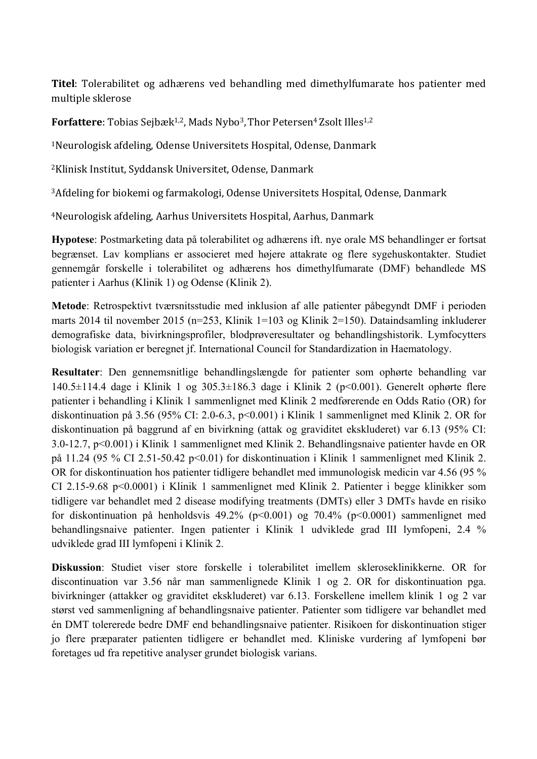**Titel**: Tolerabilitet og adhærens ved behandling med dimethylfumarate hos patienter med multiple sklerose

**Forfattere**: Tobias Sejbæk<sup>1,2</sup>, Mads Nybo<sup>3</sup>, Thor Petersen<sup>4</sup> Zsolt Illes<sup>1,2</sup>

<sup>1</sup>Neurologisk afdeling, Odense Universitets Hospital, Odense, Danmark

<sup>2</sup>Klinisk Institut, Syddansk Universitet, Odense, Danmark

<sup>3</sup>Afdeling for biokemi og farmakologi, Odense Universitets Hospital, Odense, Danmark

<sup>4</sup>Neurologisk afdeling, Aarhus Universitets Hospital, Aarhus, Danmark

**Hypotese**: Postmarketing data på tolerabilitet og adhærens ift. nye orale MS behandlinger er fortsat begrænset. Lav komplians er associeret med højere attakrate og flere sygehuskontakter. Studiet gennemgår forskelle i tolerabilitet og adhærens hos dimethylfumarate (DMF) behandlede MS patienter i Aarhus (Klinik 1) og Odense (Klinik 2).

**Metode**: Retrospektivt tværsnitsstudie med inklusion af alle patienter påbegyndt DMF i perioden marts 2014 til november 2015 (n=253, Klinik 1=103 og Klinik 2=150). Dataindsamling inkluderer demografiske data, bivirkningsprofiler, blodprøveresultater og behandlingshistorik. Lymfocytters biologisk variation er beregnet jf. International Council for Standardization in Haematology.

**Resultater**: Den gennemsnitlige behandlingslængde for patienter som ophørte behandling var 140.5±114.4 dage i Klinik 1 og 305.3±186.3 dage i Klinik 2 (p<0.001). Generelt ophørte flere patienter i behandling i Klinik 1 sammenlignet med Klinik 2 medførerende en Odds Ratio (OR) for diskontinuation på 3.56 (95% CI: 2.0-6.3, p<0.001) i Klinik 1 sammenlignet med Klinik 2. OR for diskontinuation på baggrund af en bivirkning (attak og graviditet ekskluderet) var 6.13 (95% CI: 3.0-12.7, p<0.001) i Klinik 1 sammenlignet med Klinik 2. Behandlingsnaive patienter havde en OR på 11.24 (95 % CI 2.51-50.42 p<0.01) for diskontinuation i Klinik 1 sammenlignet med Klinik 2. OR for diskontinuation hos patienter tidligere behandlet med immunologisk medicin var 4.56 (95 % CI 2.15-9.68 p<0.0001) i Klinik 1 sammenlignet med Klinik 2. Patienter i begge klinikker som tidligere var behandlet med 2 disease modifying treatments (DMTs) eller 3 DMTs havde en risiko for diskontinuation på henholdsvis 49.2% ( $p<0.001$ ) og 70.4% ( $p<0.0001$ ) sammenlignet med behandlingsnaive patienter. Ingen patienter i Klinik 1 udviklede grad III lymfopeni, 2.4 % udviklede grad III lymfopeni i Klinik 2.

**Diskussion**: Studiet viser store forskelle i tolerabilitet imellem skleroseklinikkerne. OR for discontinuation var 3.56 når man sammenlignede Klinik 1 og 2. OR for diskontinuation pga. bivirkninger (attakker og graviditet ekskluderet) var 6.13. Forskellene imellem klinik 1 og 2 var størst ved sammenligning af behandlingsnaive patienter. Patienter som tidligere var behandlet med én DMT tolererede bedre DMF end behandlingsnaive patienter. Risikoen for diskontinuation stiger jo flere præparater patienten tidligere er behandlet med. Kliniske vurdering af lymfopeni bør foretages ud fra repetitive analyser grundet biologisk varians.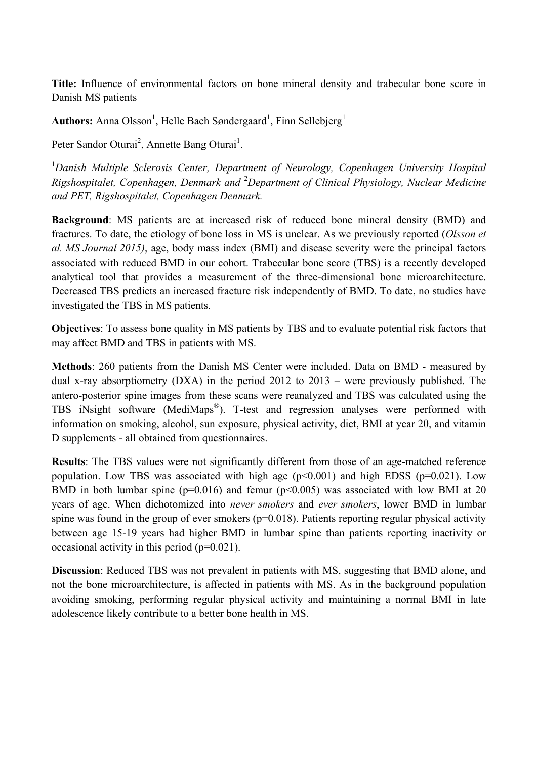**Title:** Influence of environmental factors on bone mineral density and trabecular bone score in Danish MS patients

Authors: Anna Olsson<sup>1</sup>, Helle Bach Søndergaard<sup>1</sup>, Finn Sellebjerg<sup>1</sup>

Peter Sandor Oturai<sup>2</sup>, Annette Bang Oturai<sup>1</sup>.

<sup>1</sup>Danish Multiple Sclerosis Center, Department of Neurology, Copenhagen University Hospital *Rigshospitalet, Copenhagen, Denmark and* <sup>2</sup> *Department of Clinical Physiology, Nuclear Medicine and PET, Rigshospitalet, Copenhagen Denmark.* 

**Background**: MS patients are at increased risk of reduced bone mineral density (BMD) and fractures. To date, the etiology of bone loss in MS is unclear. As we previously reported (*Olsson et al. MS Journal 2015)*, age, body mass index (BMI) and disease severity were the principal factors associated with reduced BMD in our cohort. Trabecular bone score (TBS) is a recently developed analytical tool that provides a measurement of the three-dimensional bone microarchitecture. Decreased TBS predicts an increased fracture risk independently of BMD. To date, no studies have investigated the TBS in MS patients.

**Objectives**: To assess bone quality in MS patients by TBS and to evaluate potential risk factors that may affect BMD and TBS in patients with MS.

**Methods**: 260 patients from the Danish MS Center were included. Data on BMD - measured by dual x-ray absorptiometry (DXA) in the period 2012 to 2013 – were previously published. The antero-posterior spine images from these scans were reanalyzed and TBS was calculated using the TBS iNsight software (MediMaps®). T-test and regression analyses were performed with information on smoking, alcohol, sun exposure, physical activity, diet, BMI at year 20, and vitamin D supplements - all obtained from questionnaires.

**Results**: The TBS values were not significantly different from those of an age-matched reference population. Low TBS was associated with high age  $(p<0.001)$  and high EDSS ( $p=0.021$ ). Low BMD in both lumbar spine ( $p=0.016$ ) and femur ( $p<0.005$ ) was associated with low BMI at 20 years of age. When dichotomized into *never smokers* and *ever smokers*, lower BMD in lumbar spine was found in the group of ever smokers ( $p=0.018$ ). Patients reporting regular physical activity between age 15-19 years had higher BMD in lumbar spine than patients reporting inactivity or occasional activity in this period (p=0.021).

**Discussion**: Reduced TBS was not prevalent in patients with MS, suggesting that BMD alone, and not the bone microarchitecture, is affected in patients with MS. As in the background population avoiding smoking, performing regular physical activity and maintaining a normal BMI in late adolescence likely contribute to a better bone health in MS.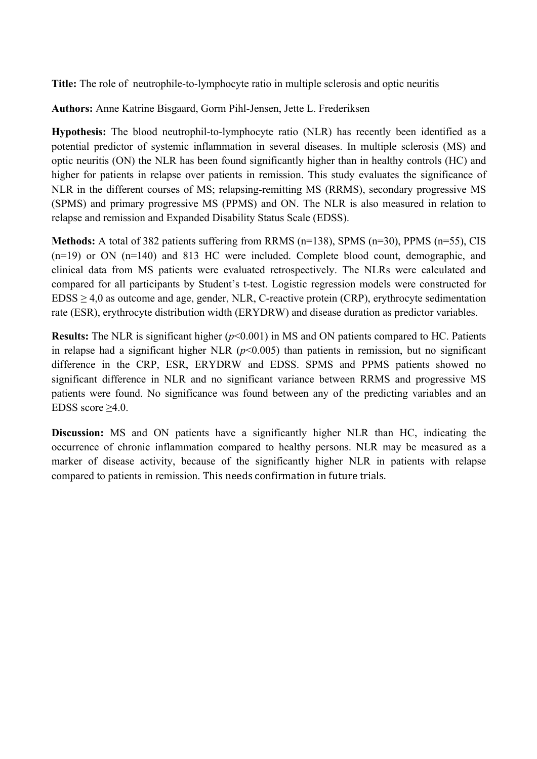**Title:** The role of neutrophile-to-lymphocyte ratio in multiple sclerosis and optic neuritis

**Authors:** Anne Katrine Bisgaard, Gorm Pihl-Jensen, Jette L. Frederiksen

**Hypothesis:** The blood neutrophil-to-lymphocyte ratio (NLR) has recently been identified as a potential predictor of systemic inflammation in several diseases. In multiple sclerosis (MS) and optic neuritis (ON) the NLR has been found significantly higher than in healthy controls (HC) and higher for patients in relapse over patients in remission. This study evaluates the significance of NLR in the different courses of MS; relapsing-remitting MS (RRMS), secondary progressive MS (SPMS) and primary progressive MS (PPMS) and ON. The NLR is also measured in relation to relapse and remission and Expanded Disability Status Scale (EDSS).

**Methods:** A total of 382 patients suffering from RRMS (n=138), SPMS (n=30), PPMS (n=55), CIS (n=19) or ON (n=140) and 813 HC were included. Complete blood count, demographic, and clinical data from MS patients were evaluated retrospectively. The NLRs were calculated and compared for all participants by Student's t-test. Logistic regression models were constructed for  $EDSS \geq 4.0$  as outcome and age, gender, NLR, C-reactive protein (CRP), erythrocyte sedimentation rate (ESR), erythrocyte distribution width (ERYDRW) and disease duration as predictor variables.

**Results:** The NLR is significant higher (*p*<0.001) in MS and ON patients compared to HC. Patients in relapse had a significant higher NLR  $(p<0.005)$  than patients in remission, but no significant difference in the CRP, ESR, ERYDRW and EDSS. SPMS and PPMS patients showed no significant difference in NLR and no significant variance between RRMS and progressive MS patients were found. No significance was found between any of the predicting variables and an EDSS score  $>4.0$ .

**Discussion:** MS and ON patients have a significantly higher NLR than HC, indicating the occurrence of chronic inflammation compared to healthy persons. NLR may be measured as a marker of disease activity, because of the significantly higher NLR in patients with relapse compared to patients in remission. This needs confirmation in future trials.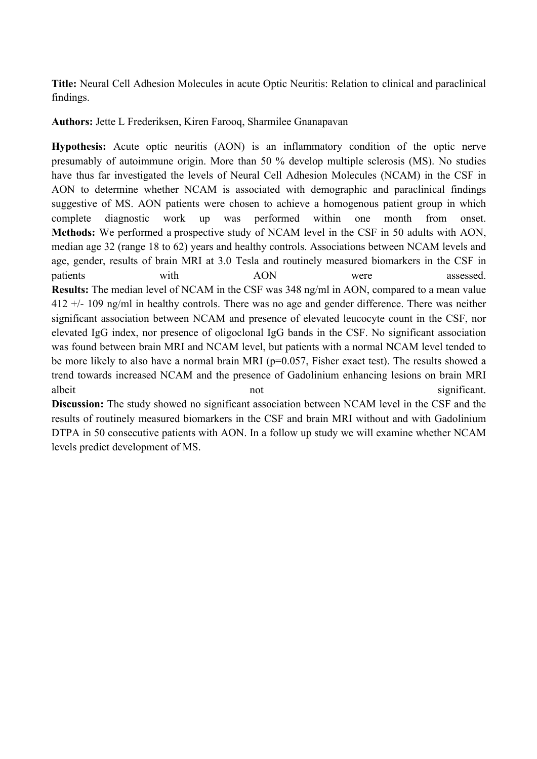**Title:** Neural Cell Adhesion Molecules in acute Optic Neuritis: Relation to clinical and paraclinical findings.

**Authors:** Jette L Frederiksen, Kiren Farooq, Sharmilee Gnanapavan

**Hypothesis:** Acute optic neuritis (AON) is an inflammatory condition of the optic nerve presumably of autoimmune origin. More than 50 % develop multiple sclerosis (MS). No studies have thus far investigated the levels of Neural Cell Adhesion Molecules (NCAM) in the CSF in AON to determine whether NCAM is associated with demographic and paraclinical findings suggestive of MS. AON patients were chosen to achieve a homogenous patient group in which complete diagnostic work up was performed within one month from onset. **Methods:** We performed a prospective study of NCAM level in the CSF in 50 adults with AON, median age 32 (range 18 to 62) years and healthy controls. Associations between NCAM levels and age, gender, results of brain MRI at 3.0 Tesla and routinely measured biomarkers in the CSF in patients with  $AON$  were assessed. **Results:** The median level of NCAM in the CSF was 348 ng/ml in AON, compared to a mean value 412 +/- 109 ng/ml in healthy controls. There was no age and gender difference. There was neither significant association between NCAM and presence of elevated leucocyte count in the CSF, nor elevated IgG index, nor presence of oligoclonal IgG bands in the CSF. No significant association was found between brain MRI and NCAM level, but patients with a normal NCAM level tended to be more likely to also have a normal brain MRI (p=0.057, Fisher exact test). The results showed a trend towards increased NCAM and the presence of Gadolinium enhancing lesions on brain MRI albeit significant.

**Discussion:** The study showed no significant association between NCAM level in the CSF and the results of routinely measured biomarkers in the CSF and brain MRI without and with Gadolinium DTPA in 50 consecutive patients with AON. In a follow up study we will examine whether NCAM levels predict development of MS.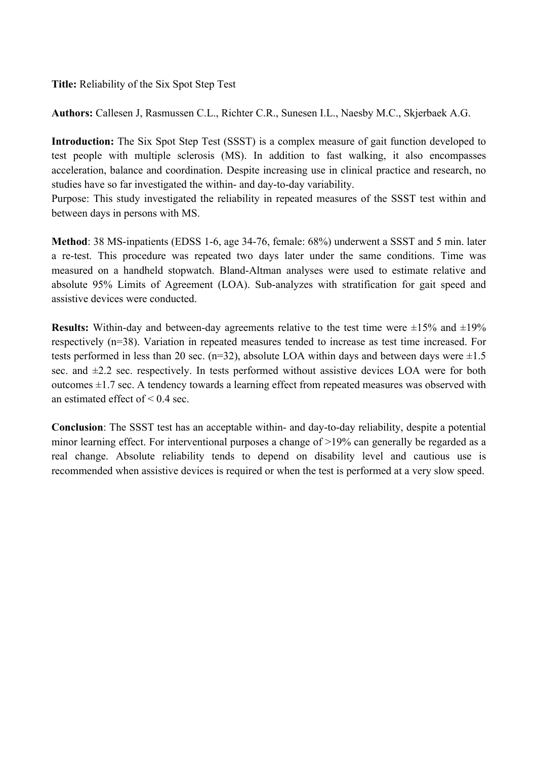**Title:** Reliability of the Six Spot Step Test

**Authors:** Callesen J, Rasmussen C.L., Richter C.R., Sunesen I.L., Naesby M.C., Skjerbaek A.G.

**Introduction:** The Six Spot Step Test (SSST) is a complex measure of gait function developed to test people with multiple sclerosis (MS). In addition to fast walking, it also encompasses acceleration, balance and coordination. Despite increasing use in clinical practice and research, no studies have so far investigated the within- and day-to-day variability.

Purpose: This study investigated the reliability in repeated measures of the SSST test within and between days in persons with MS.

**Method**: 38 MS-inpatients (EDSS 1-6, age 34-76, female: 68%) underwent a SSST and 5 min. later a re-test. This procedure was repeated two days later under the same conditions. Time was measured on a handheld stopwatch. Bland-Altman analyses were used to estimate relative and absolute 95% Limits of Agreement (LOA). Sub-analyzes with stratification for gait speed and assistive devices were conducted.

**Results:** Within-day and between-day agreements relative to the test time were  $\pm 15\%$  and  $\pm 19\%$ respectively (n=38). Variation in repeated measures tended to increase as test time increased. For tests performed in less than 20 sec. (n=32), absolute LOA within days and between days were  $\pm 1.5$ sec. and  $\pm 2.2$  sec. respectively. In tests performed without assistive devices LOA were for both outcomes  $\pm 1.7$  sec. A tendency towards a learning effect from repeated measures was observed with an estimated effect of  $\leq 0.4$  sec.

**Conclusion**: The SSST test has an acceptable within- and day-to-day reliability, despite a potential minor learning effect. For interventional purposes a change of >19% can generally be regarded as a real change. Absolute reliability tends to depend on disability level and cautious use is recommended when assistive devices is required or when the test is performed at a very slow speed.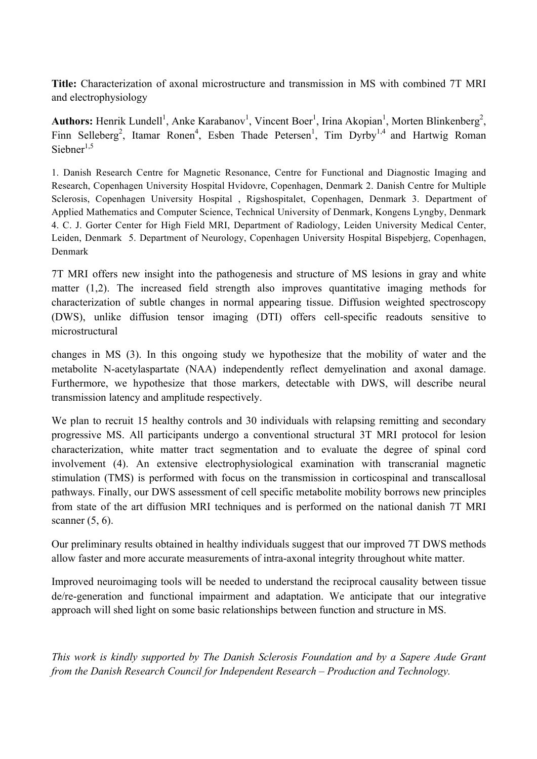**Title:** Characterization of axonal microstructure and transmission in MS with combined 7T MRI and electrophysiology

Authors: Henrik Lundell<sup>1</sup>, Anke Karabanov<sup>1</sup>, Vincent Boer<sup>1</sup>, Irina Akopian<sup>1</sup>, Morten Blinkenberg<sup>2</sup>, Finn Selleberg<sup>2</sup>, Itamar Ronen<sup>4</sup>, Esben Thade Petersen<sup>1</sup>, Tim Dyrby<sup>1,4</sup> and Hartwig Roman Siehner $1,5$ 

1. Danish Research Centre for Magnetic Resonance, Centre for Functional and Diagnostic Imaging and Research, Copenhagen University Hospital Hvidovre, Copenhagen, Denmark 2. Danish Centre for Multiple Sclerosis, Copenhagen University Hospital , Rigshospitalet, Copenhagen, Denmark 3. Department of Applied Mathematics and Computer Science, Technical University of Denmark, Kongens Lyngby, Denmark 4. C. J. Gorter Center for High Field MRI, Department of Radiology, Leiden University Medical Center, Leiden, Denmark 5. Department of Neurology, Copenhagen University Hospital Bispebjerg, Copenhagen, Denmark

7T MRI offers new insight into the pathogenesis and structure of MS lesions in gray and white matter (1,2). The increased field strength also improves quantitative imaging methods for characterization of subtle changes in normal appearing tissue. Diffusion weighted spectroscopy (DWS), unlike diffusion tensor imaging (DTI) offers cell-specific readouts sensitive to microstructural

changes in MS (3). In this ongoing study we hypothesize that the mobility of water and the metabolite N-acetylaspartate (NAA) independently reflect demyelination and axonal damage. Furthermore, we hypothesize that those markers, detectable with DWS, will describe neural transmission latency and amplitude respectively.

We plan to recruit 15 healthy controls and 30 individuals with relapsing remitting and secondary progressive MS. All participants undergo a conventional structural 3T MRI protocol for lesion characterization, white matter tract segmentation and to evaluate the degree of spinal cord involvement (4). An extensive electrophysiological examination with transcranial magnetic stimulation (TMS) is performed with focus on the transmission in corticospinal and transcallosal pathways. Finally, our DWS assessment of cell specific metabolite mobility borrows new principles from state of the art diffusion MRI techniques and is performed on the national danish 7T MRI scanner (5, 6).

Our preliminary results obtained in healthy individuals suggest that our improved 7T DWS methods allow faster and more accurate measurements of intra-axonal integrity throughout white matter.

Improved neuroimaging tools will be needed to understand the reciprocal causality between tissue de/re-generation and functional impairment and adaptation. We anticipate that our integrative approach will shed light on some basic relationships between function and structure in MS.

*This work is kindly supported by The Danish Sclerosis Foundation and by a Sapere Aude Grant from the Danish Research Council for Independent Research – Production and Technology.*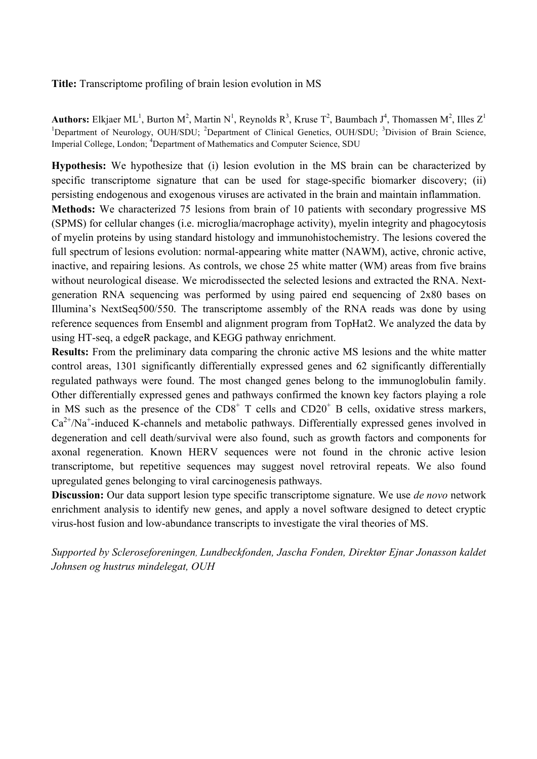**Title:** Transcriptome profiling of brain lesion evolution in MS

Authors: Elkjaer ML<sup>1</sup>, Burton M<sup>2</sup>, Martin N<sup>1</sup>, Reynolds R<sup>3</sup>, Kruse T<sup>2</sup>, Baumbach J<sup>4</sup>, Thomassen M<sup>2</sup>, Illes Z<sup>1</sup> <sup>1</sup>Department of Neurology, OUH/SDU; <sup>2</sup>Department of Clinical Genetics, OUH/SDU; <sup>3</sup>Division of Brain Science, Imperial College, London; <sup>4</sup>Department of Mathematics and Computer Science, SDU

**Hypothesis:** We hypothesize that (i) lesion evolution in the MS brain can be characterized by specific transcriptome signature that can be used for stage-specific biomarker discovery; (ii) persisting endogenous and exogenous viruses are activated in the brain and maintain inflammation.

**Methods:** We characterized 75 lesions from brain of 10 patients with secondary progressive MS (SPMS) for cellular changes (i.e. microglia/macrophage activity), myelin integrity and phagocytosis of myelin proteins by using standard histology and immunohistochemistry. The lesions covered the full spectrum of lesions evolution: normal-appearing white matter (NAWM), active, chronic active, inactive, and repairing lesions. As controls, we chose 25 white matter (WM) areas from five brains without neurological disease. We microdissected the selected lesions and extracted the RNA. Nextgeneration RNA sequencing was performed by using paired end sequencing of 2x80 bases on Illumina's NextSeq500/550. The transcriptome assembly of the RNA reads was done by using reference sequences from Ensembl and alignment program from TopHat2. We analyzed the data by using HT-seq, a edgeR package, and KEGG pathway enrichment.

**Results:** From the preliminary data comparing the chronic active MS lesions and the white matter control areas, 1301 significantly differentially expressed genes and 62 significantly differentially regulated pathways were found. The most changed genes belong to the immunoglobulin family. Other differentially expressed genes and pathways confirmed the known key factors playing a role in MS such as the presence of the  $CD8<sup>+</sup>$  T cells and  $CD20<sup>+</sup>$  B cells, oxidative stress markers,  $Ca<sup>2+</sup>/Na<sup>+</sup>$ -induced K-channels and metabolic pathways. Differentially expressed genes involved in degeneration and cell death/survival were also found, such as growth factors and components for axonal regeneration. Known HERV sequences were not found in the chronic active lesion transcriptome, but repetitive sequences may suggest novel retroviral repeats. We also found upregulated genes belonging to viral carcinogenesis pathways.

**Discussion:** Our data support lesion type specific transcriptome signature. We use *de novo* network enrichment analysis to identify new genes, and apply a novel software designed to detect cryptic virus-host fusion and low-abundance transcripts to investigate the viral theories of MS.

*Supported by Scleroseforeningen, Lundbeckfonden, Jascha Fonden, Direktør Ejnar Jonasson kaldet Johnsen og hustrus mindelegat, OUH*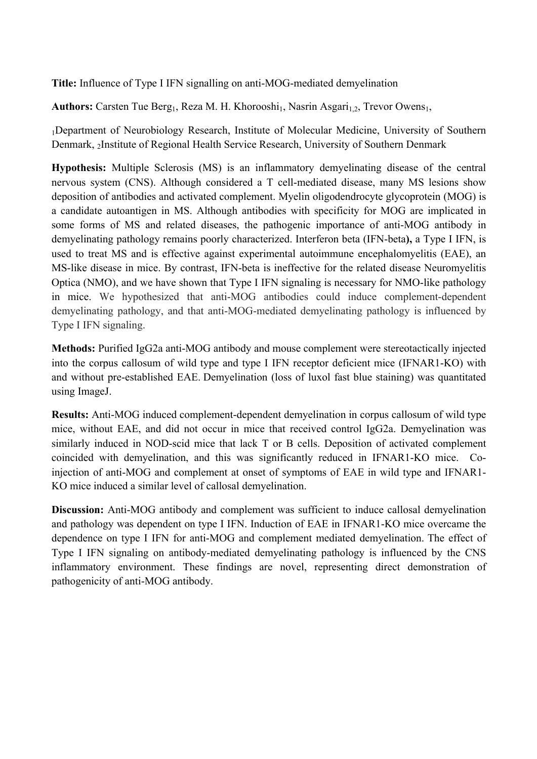**Title:** Influence of Type I IFN signalling on anti-MOG-mediated demyelination

Authors: Carsten Tue Berg<sub>1</sub>, Reza M. H. Khorooshi<sub>1</sub>, Nasrin Asgari<sub>1,2</sub>, Trevor Owens<sub>1</sub>,

1Department of Neurobiology Research, Institute of Molecular Medicine, University of Southern Denmark, 2Institute of Regional Health Service Research, University of Southern Denmark

**Hypothesis:** Multiple Sclerosis (MS) is an inflammatory demyelinating disease of the central nervous system (CNS). Although considered a T cell-mediated disease, many MS lesions show deposition of antibodies and activated complement. Myelin oligodendrocyte glycoprotein (MOG) is a candidate autoantigen in MS. Although antibodies with specificity for MOG are implicated in some forms of MS and related diseases, the pathogenic importance of anti-MOG antibody in demyelinating pathology remains poorly characterized. Interferon beta (IFN-beta**),** a Type I IFN, is used to treat MS and is effective against experimental autoimmune encephalomyelitis (EAE), an MS-like disease in mice. By contrast, IFN-beta is ineffective for the related disease Neuromyelitis Optica (NMO), and we have shown that Type I IFN signaling is necessary for NMO-like pathology in mice. We hypothesized that anti-MOG antibodies could induce complement-dependent demyelinating pathology, and that anti-MOG-mediated demyelinating pathology is influenced by Type I IFN signaling.

**Methods:** Purified IgG2a anti-MOG antibody and mouse complement were stereotactically injected into the corpus callosum of wild type and type I IFN receptor deficient mice (IFNAR1-KO) with and without pre-established EAE. Demyelination (loss of luxol fast blue staining) was quantitated using ImageJ.

**Results:** Anti-MOG induced complement-dependent demyelination in corpus callosum of wild type mice, without EAE, and did not occur in mice that received control IgG2a. Demyelination was similarly induced in NOD-scid mice that lack T or B cells. Deposition of activated complement coincided with demyelination, and this was significantly reduced in IFNAR1-KO mice. Coinjection of anti-MOG and complement at onset of symptoms of EAE in wild type and IFNAR1- KO mice induced a similar level of callosal demyelination.

**Discussion:** Anti-MOG antibody and complement was sufficient to induce callosal demyelination and pathology was dependent on type I IFN. Induction of EAE in IFNAR1-KO mice overcame the dependence on type I IFN for anti-MOG and complement mediated demyelination. The effect of Type I IFN signaling on antibody-mediated demyelinating pathology is influenced by the CNS inflammatory environment. These findings are novel, representing direct demonstration of pathogenicity of anti-MOG antibody.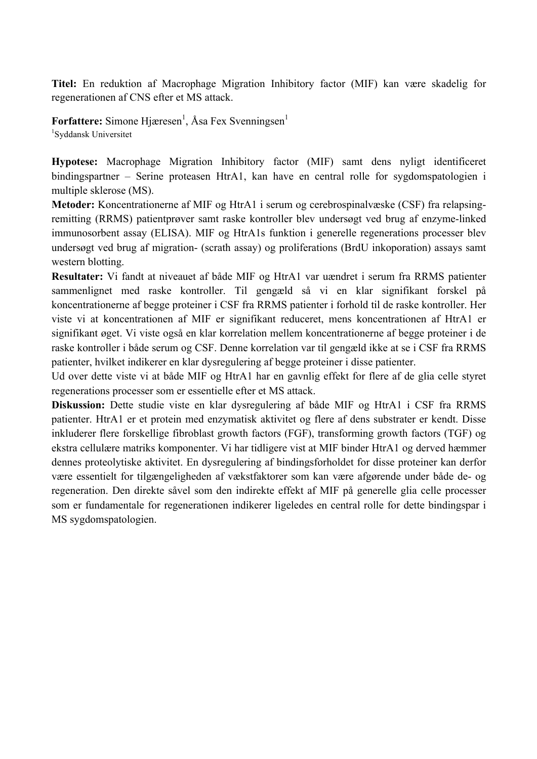**Titel:** En reduktion af Macrophage Migration Inhibitory factor (MIF) kan være skadelig for regenerationen af CNS efter et MS attack.

**Forfattere:** Simone Hjæresen<sup>1</sup>, Åsa Fex Svenningsen<sup>1</sup> 1 Syddansk Universitet

**Hypotese:** Macrophage Migration Inhibitory factor (MIF) samt dens nyligt identificeret bindingspartner – Serine proteasen HtrA1, kan have en central rolle for sygdomspatologien i multiple sklerose (MS).

**Metoder:** Koncentrationerne af MIF og HtrA1 i serum og cerebrospinalvæske (CSF) fra relapsingremitting (RRMS) patientprøver samt raske kontroller blev undersøgt ved brug af enzyme-linked immunosorbent assay (ELISA). MIF og HtrA1s funktion i generelle regenerations processer blev undersøgt ved brug af migration- (scrath assay) og proliferations (BrdU inkoporation) assays samt western blotting.

**Resultater:** Vi fandt at niveauet af både MIF og HtrA1 var uændret i serum fra RRMS patienter sammenlignet med raske kontroller. Til gengæld så vi en klar signifikant forskel på koncentrationerne af begge proteiner i CSF fra RRMS patienter i forhold til de raske kontroller. Her viste vi at koncentrationen af MIF er signifikant reduceret, mens koncentrationen af HtrA1 er signifikant øget. Vi viste også en klar korrelation mellem koncentrationerne af begge proteiner i de raske kontroller i både serum og CSF. Denne korrelation var til gengæld ikke at se i CSF fra RRMS patienter, hvilket indikerer en klar dysregulering af begge proteiner i disse patienter.

Ud over dette viste vi at både MIF og HtrA1 har en gavnlig effekt for flere af de glia celle styret regenerations processer som er essentielle efter et MS attack.

**Diskussion:** Dette studie viste en klar dysregulering af både MIF og HtrA1 i CSF fra RRMS patienter. HtrA1 er et protein med enzymatisk aktivitet og flere af dens substrater er kendt. Disse inkluderer flere forskellige fibroblast growth factors (FGF), transforming growth factors (TGF) og ekstra cellulære matriks komponenter. Vi har tidligere vist at MIF binder HtrA1 og derved hæmmer dennes proteolytiske aktivitet. En dysregulering af bindingsforholdet for disse proteiner kan derfor være essentielt for tilgængeligheden af vækstfaktorer som kan være afgørende under både de- og regeneration. Den direkte såvel som den indirekte effekt af MIF på generelle glia celle processer som er fundamentale for regenerationen indikerer ligeledes en central rolle for dette bindingspar i MS sygdomspatologien.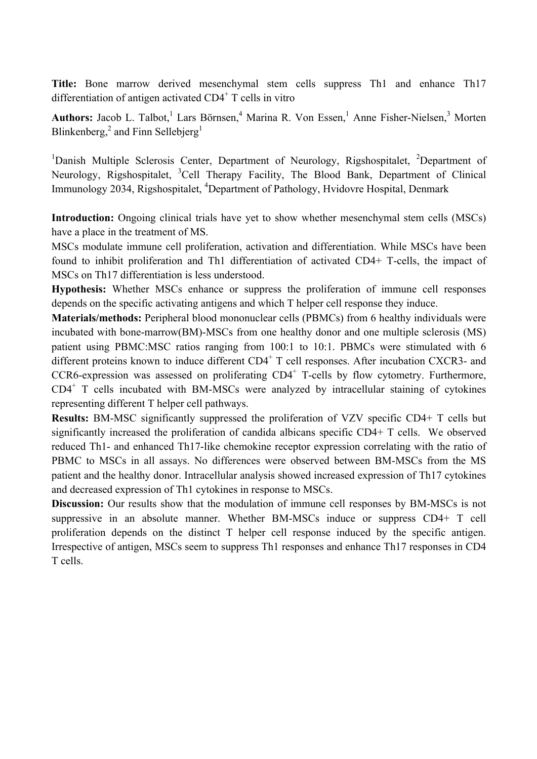**Title:** Bone marrow derived mesenchymal stem cells suppress Th1 and enhance Th17 differentiation of antigen activated  $CD4<sup>+</sup>$  T cells in vitro

Authors: Jacob L. Talbot,<sup>1</sup> Lars Börnsen,<sup>4</sup> Marina R. Von Essen,<sup>1</sup> Anne Fisher-Nielsen,<sup>3</sup> Morten Blinkenberg,<sup>2</sup> and Finn Sellebjerg<sup>1</sup>

<sup>1</sup>Danish Multiple Sclerosis Center, Department of Neurology, Rigshospitalet, <sup>2</sup>Department of Neurology, Rigshospitalet, <sup>3</sup>Cell Therapy Facility, The Blood Bank, Department of Clinical Immunology 2034, Rigshospitalet, <sup>4</sup>Department of Pathology, Hvidovre Hospital, Denmark

**Introduction:** Ongoing clinical trials have yet to show whether mesenchymal stem cells (MSCs) have a place in the treatment of MS.

MSCs modulate immune cell proliferation, activation and differentiation. While MSCs have been found to inhibit proliferation and Th1 differentiation of activated CD4+ T-cells, the impact of MSCs on Th17 differentiation is less understood.

**Hypothesis:** Whether MSCs enhance or suppress the proliferation of immune cell responses depends on the specific activating antigens and which T helper cell response they induce.

**Materials/methods:** Peripheral blood mononuclear cells (PBMCs) from 6 healthy individuals were incubated with bone-marrow(BM)-MSCs from one healthy donor and one multiple sclerosis (MS) patient using PBMC:MSC ratios ranging from 100:1 to 10:1. PBMCs were stimulated with 6 different proteins known to induce different  $CD4^+$  T cell responses. After incubation CXCR3- and CCR6-expression was assessed on proliferating  $CD4^+$  T-cells by flow cytometry. Furthermore,  $CD4<sup>+</sup>$  T cells incubated with BM-MSCs were analyzed by intracellular staining of cytokines representing different T helper cell pathways.

**Results:** BM-MSC significantly suppressed the proliferation of VZV specific CD4+ T cells but significantly increased the proliferation of candida albicans specific CD4+ T cells. We observed reduced Th1- and enhanced Th17-like chemokine receptor expression correlating with the ratio of PBMC to MSCs in all assays. No differences were observed between BM-MSCs from the MS patient and the healthy donor. Intracellular analysis showed increased expression of Th17 cytokines and decreased expression of Th1 cytokines in response to MSCs.

**Discussion:** Our results show that the modulation of immune cell responses by BM-MSCs is not suppressive in an absolute manner. Whether BM-MSCs induce or suppress CD4+ T cell proliferation depends on the distinct T helper cell response induced by the specific antigen. Irrespective of antigen, MSCs seem to suppress Th1 responses and enhance Th17 responses in CD4 T cells.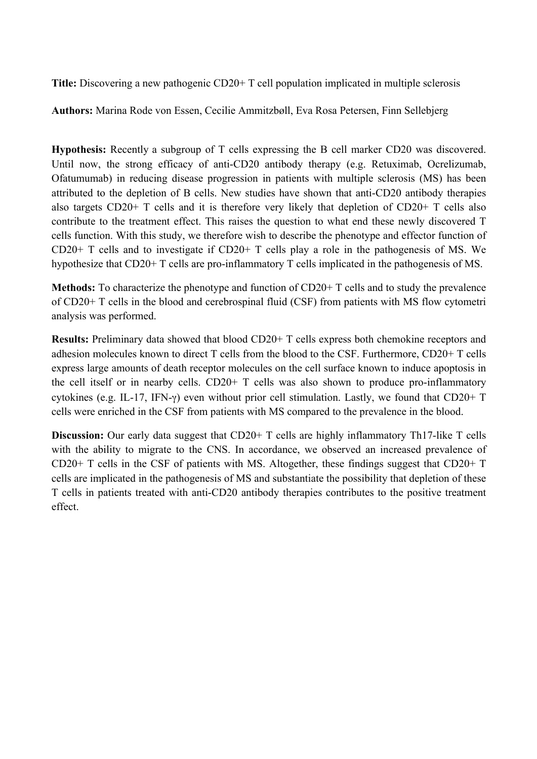**Title:** Discovering a new pathogenic CD20+ T cell population implicated in multiple sclerosis

**Authors:** Marina Rode von Essen, Cecilie Ammitzbøll, Eva Rosa Petersen, Finn Sellebjerg

**Hypothesis:** Recently a subgroup of T cells expressing the B cell marker CD20 was discovered. Until now, the strong efficacy of anti-CD20 antibody therapy (e.g. Retuximab, Ocrelizumab, Ofatumumab) in reducing disease progression in patients with multiple sclerosis (MS) has been attributed to the depletion of B cells. New studies have shown that anti-CD20 antibody therapies also targets CD20+ T cells and it is therefore very likely that depletion of CD20+ T cells also contribute to the treatment effect. This raises the question to what end these newly discovered T cells function. With this study, we therefore wish to describe the phenotype and effector function of CD20+ T cells and to investigate if CD20+ T cells play a role in the pathogenesis of MS. We hypothesize that CD20+ T cells are pro-inflammatory T cells implicated in the pathogenesis of MS.

**Methods:** To characterize the phenotype and function of CD20+ T cells and to study the prevalence of CD20+ T cells in the blood and cerebrospinal fluid (CSF) from patients with MS flow cytometri analysis was performed.

**Results:** Preliminary data showed that blood CD20+ T cells express both chemokine receptors and adhesion molecules known to direct T cells from the blood to the CSF. Furthermore, CD20+ T cells express large amounts of death receptor molecules on the cell surface known to induce apoptosis in the cell itself or in nearby cells. CD20+ T cells was also shown to produce pro-inflammatory cytokines (e.g. IL-17, IFN-γ) even without prior cell stimulation. Lastly, we found that CD20+ T cells were enriched in the CSF from patients with MS compared to the prevalence in the blood.

**Discussion:** Our early data suggest that CD20+ T cells are highly inflammatory Th17-like T cells with the ability to migrate to the CNS. In accordance, we observed an increased prevalence of CD20+ T cells in the CSF of patients with MS. Altogether, these findings suggest that CD20+ T cells are implicated in the pathogenesis of MS and substantiate the possibility that depletion of these T cells in patients treated with anti-CD20 antibody therapies contributes to the positive treatment effect.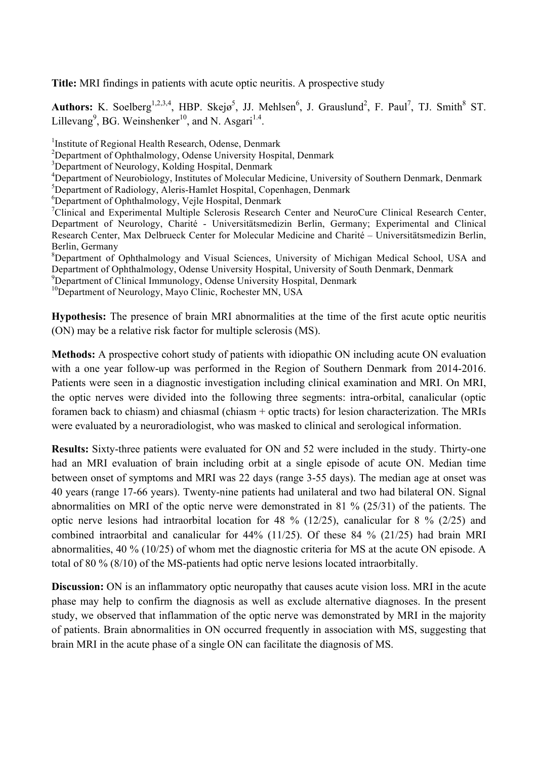**Title:** MRI findings in patients with acute optic neuritis. A prospective study

**Authors:** K. Soelberg<sup>1,2,3,4</sup>, HBP. Skejø<sup>5</sup>, JJ. Mehlsen<sup>6</sup>, J. Grauslund<sup>2</sup>, F. Paul<sup>7</sup>, TJ. Smith<sup>8</sup> ST. Lillevang<sup>9</sup>, BG. Weinshenker<sup>10</sup>, and N. Asgari<sup>1.4</sup>.

<sup>1</sup>Institute of Regional Health Research, Odense, Denmark

<sup>2</sup>Department of Ophthalmology, Odense University Hospital, Denmark

<sup>3</sup>Department of Neurology, Kolding Hospital, Denmark

<sup>4</sup>Department of Neurobiology, Institutes of Molecular Medicine, University of Southern Denmark, Denmark

5 Department of Radiology, Aleris-Hamlet Hospital, Copenhagen, Denmark

6 Department of Ophthalmology, Vejle Hospital, Denmark

<sup>7</sup>Clinical and Experimental Multiple Sclerosis Research Center and NeuroCure Clinical Research Center, Department of Neurology, Charité - Universitätsmedizin Berlin, Germany; Experimental and Clinical Research Center, Max Delbrueck Center for Molecular Medicine and Charité – Universitätsmedizin Berlin, Berlin, Germany

<sup>8</sup>Department of Ophthalmology and Visual Sciences, University of Michigan Medical School, USA and Department of Ophthalmology, Odense University Hospital, University of South Denmark, Denmark

<sup>9</sup>Department of Clinical Immunology, Odense University Hospital, Denmark

<sup>10</sup>Department of Neurology, Mayo Clinic, Rochester MN, USA

**Hypothesis:** The presence of brain MRI abnormalities at the time of the first acute optic neuritis (ON) may be a relative risk factor for multiple sclerosis (MS).

**Methods:** A prospective cohort study of patients with idiopathic ON including acute ON evaluation with a one year follow-up was performed in the Region of Southern Denmark from 2014-2016. Patients were seen in a diagnostic investigation including clinical examination and MRI. On MRI, the optic nerves were divided into the following three segments: intra-orbital, canalicular (optic foramen back to chiasm) and chiasmal (chiasm + optic tracts) for lesion characterization. The MRIs were evaluated by a neuroradiologist, who was masked to clinical and serological information.

**Results:** Sixty-three patients were evaluated for ON and 52 were included in the study. Thirty-one had an MRI evaluation of brain including orbit at a single episode of acute ON. Median time between onset of symptoms and MRI was 22 days (range 3-55 days). The median age at onset was 40 years (range 17-66 years). Twenty-nine patients had unilateral and two had bilateral ON. Signal abnormalities on MRI of the optic nerve were demonstrated in 81 % (25/31) of the patients. The optic nerve lesions had intraorbital location for 48 % (12/25), canalicular for 8 % (2/25) and combined intraorbital and canalicular for 44% (11/25). Of these 84 % (21/25) had brain MRI abnormalities, 40 % (10/25) of whom met the diagnostic criteria for MS at the acute ON episode. A total of 80 % (8/10) of the MS-patients had optic nerve lesions located intraorbitally.

**Discussion:** ON is an inflammatory optic neuropathy that causes acute vision loss. MRI in the acute phase may help to confirm the diagnosis as well as exclude alternative diagnoses. In the present study, we observed that inflammation of the optic nerve was demonstrated by MRI in the majority of patients. Brain abnormalities in ON occurred frequently in association with MS, suggesting that brain MRI in the acute phase of a single ON can facilitate the diagnosis of MS.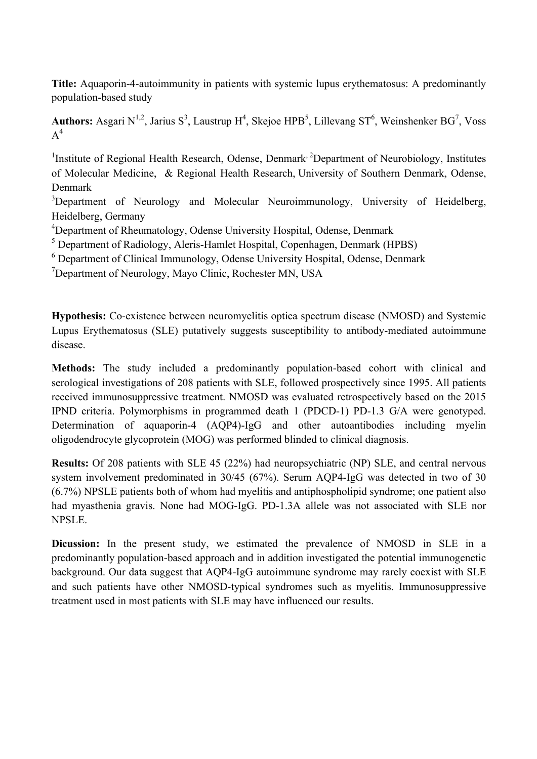**Title:** Aquaporin-4-autoimmunity in patients with systemic lupus erythematosus: A predominantly population-based study

**Authors:** Asgari N<sup>1,2</sup>, Jarius S<sup>3</sup>, Laustrup H<sup>4</sup>, Skejoe HPB<sup>5</sup>, Lillevang ST<sup>6</sup>, Weinshenker BG<sup>7</sup>, Voss  $A^4$ 

<sup>1</sup>Institute of Regional Health Research, Odense, Denmark<sup>2</sup> Department of Neurobiology, Institutes of Molecular Medicine, & Regional Health Research, University of Southern Denmark, Odense, Denmark

<sup>3</sup>Department of Neurology and Molecular Neuroimmunology, University of Heidelberg, Heidelberg, Germany

<sup>4</sup>Department of Rheumatology, Odense University Hospital, Odense, Denmark

<sup>5</sup> Department of Radiology, Aleris-Hamlet Hospital, Copenhagen, Denmark (HPBS)

<sup>6</sup> Department of Clinical Immunology, Odense University Hospital, Odense, Denmark

<sup>7</sup>Department of Neurology, Mayo Clinic, Rochester MN, USA

**Hypothesis:** Co-existence between neuromyelitis optica spectrum disease (NMOSD) and Systemic Lupus Erythematosus (SLE) putatively suggests susceptibility to antibody-mediated autoimmune disease.

**Methods:** The study included a predominantly population-based cohort with clinical and serological investigations of 208 patients with SLE, followed prospectively since 1995. All patients received immunosuppressive treatment. NMOSD was evaluated retrospectively based on the 2015 IPND criteria. Polymorphisms in programmed death 1 (PDCD-1) PD-1.3 G/A were genotyped. Determination of aquaporin-4 (AQP4)-IgG and other autoantibodies including myelin oligodendrocyte glycoprotein (MOG) was performed blinded to clinical diagnosis.

**Results:** Of 208 patients with SLE 45 (22%) had neuropsychiatric (NP) SLE, and central nervous system involvement predominated in 30/45 (67%). Serum AQP4-IgG was detected in two of 30 (6.7%) NPSLE patients both of whom had myelitis and antiphospholipid syndrome; one patient also had myasthenia gravis. None had MOG-IgG. PD-1.3A allele was not associated with SLE nor NPSLE.

**Dicussion:** In the present study, we estimated the prevalence of NMOSD in SLE in a predominantly population-based approach and in addition investigated the potential immunogenetic background. Our data suggest that AQP4-IgG autoimmune syndrome may rarely coexist with SLE and such patients have other NMOSD-typical syndromes such as myelitis. Immunosuppressive treatment used in most patients with SLE may have influenced our results.